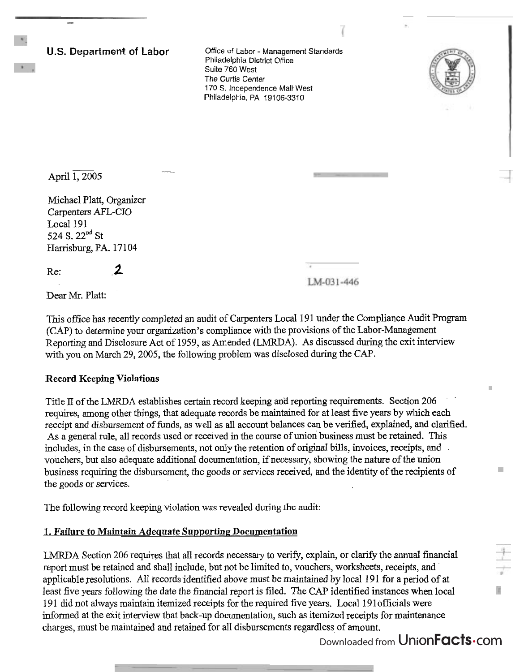**U.S. Department of Labor** 

Office of Labor - Management Standards Philadelphia District Office Suite 760 West The Curtis Center 170 S. Independence Malt West Philadelphia, PA 19106-331 0

April 1, 2005

Michael Platt, Organizer Carpenters AFL-CIO Local 191 524 S. 22<sup>nd</sup> St Harrisburg, PA, 17104

Re: **,2** 

LM-031-446

Dear Mr. Platt:

This office has recently completed an audit of Carpenters Local 191 under the Compliance Audit Program **(CAP)** to determine your organization's compliance with the provisions of the Labor-Management Reporting and Disclosure Act of 1959, as Amended (LMRDA). As discussed during the exit interview with you on March 29,2005, the following problem was disclosed during the CAP.

## **Record Keeping Violations**

Title II of the LMRDA establishes certain record keeping and reporting requirements. Section 206 requires, among other things, that adequate records be maintained for at least five years by which each receipt and disbursement of funds, as well **as** all account balances can be verified, explained, and clarified. As a general rule, all records used or received in the course of union business must be retained. This includes, in the case of disbursements, not only the retention of original bills, invoices, receipts, and vouchers, but also adequate additional documentation, if necessary, showing the nature of the union business requiring the disbursement, the goods or services received, and the identity of the recipients of the goods or services.

The following record keeping violation was revealed during the audit:

## **1. Failure to Maintain Adequate Supporting Documentation**

--

LMRDA Section 206 requires that all records necessary to verify, explain, or clarify the annual financial report must be retained and shall include, but not be limited to, vouchers, worksheets, receipts, and applicable resolutions. All records identified above must be maintained by local 191 for a period of at least five years following the date the financial report is filed. The CAP identified instances when local 19 1 did not always maintain itemized receipts for the required five years. Local 19 1 officials were informed at the exit interview that back-up documentation, such **as** itemized receipts for maintenance charges, must be maintained and retained for all disbursements regardless of amount.

Downloaded from UnionFacts.com

Ű.

n.